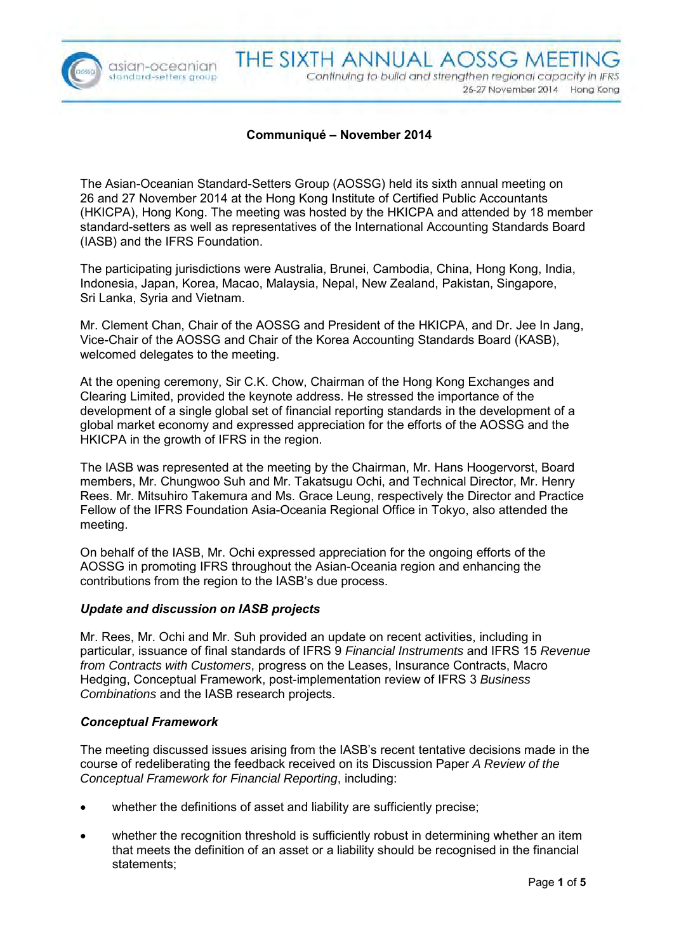

asian-oceanian standard-setters group

## **Communiqué – November 2014**

The Asian-Oceanian Standard-Setters Group (AOSSG) held its sixth annual meeting on 26 and 27 November 2014 at the Hong Kong Institute of Certified Public Accountants (HKICPA), Hong Kong. The meeting was hosted by the HKICPA and attended by 18 member standard-setters as well as representatives of the International Accounting Standards Board (IASB) and the IFRS Foundation.

The participating jurisdictions were Australia, Brunei, Cambodia, China, Hong Kong, India, Indonesia, Japan, Korea, Macao, Malaysia, Nepal, New Zealand, Pakistan, Singapore, Sri Lanka, Syria and Vietnam.

Mr. Clement Chan, Chair of the AOSSG and President of the HKICPA, and Dr. Jee In Jang, Vice-Chair of the AOSSG and Chair of the Korea Accounting Standards Board (KASB), welcomed delegates to the meeting.

At the opening ceremony, Sir C.K. Chow, Chairman of the Hong Kong Exchanges and Clearing Limited, provided the keynote address. He stressed the importance of the development of a single global set of financial reporting standards in the development of a global market economy and expressed appreciation for the efforts of the AOSSG and the HKICPA in the growth of IFRS in the region.

The IASB was represented at the meeting by the Chairman, Mr. Hans Hoogervorst, Board members, Mr. Chungwoo Suh and Mr. Takatsugu Ochi, and Technical Director, Mr. Henry Rees. Mr. Mitsuhiro Takemura and Ms. Grace Leung, respectively the Director and Practice Fellow of the IFRS Foundation Asia-Oceania Regional Office in Tokyo, also attended the meeting.

On behalf of the IASB, Mr. Ochi expressed appreciation for the ongoing efforts of the AOSSG in promoting IFRS throughout the Asian-Oceania region and enhancing the contributions from the region to the IASB's due process.

### *Update and discussion on IASB projects*

Mr. Rees, Mr. Ochi and Mr. Suh provided an update on recent activities, including in particular, issuance of final standards of IFRS 9 *Financial Instruments* and IFRS 15 *Revenue from Contracts with Customers*, progress on the Leases, Insurance Contracts, Macro Hedging, Conceptual Framework, post-implementation review of IFRS 3 *Business Combinations* and the IASB research projects.

### *Conceptual Framework*

The meeting discussed issues arising from the IASB's recent tentative decisions made in the course of redeliberating the feedback received on its Discussion Paper *A Review of the Conceptual Framework for Financial Reporting*, including:

- whether the definitions of asset and liability are sufficiently precise;
- whether the recognition threshold is sufficiently robust in determining whether an item that meets the definition of an asset or a liability should be recognised in the financial statements;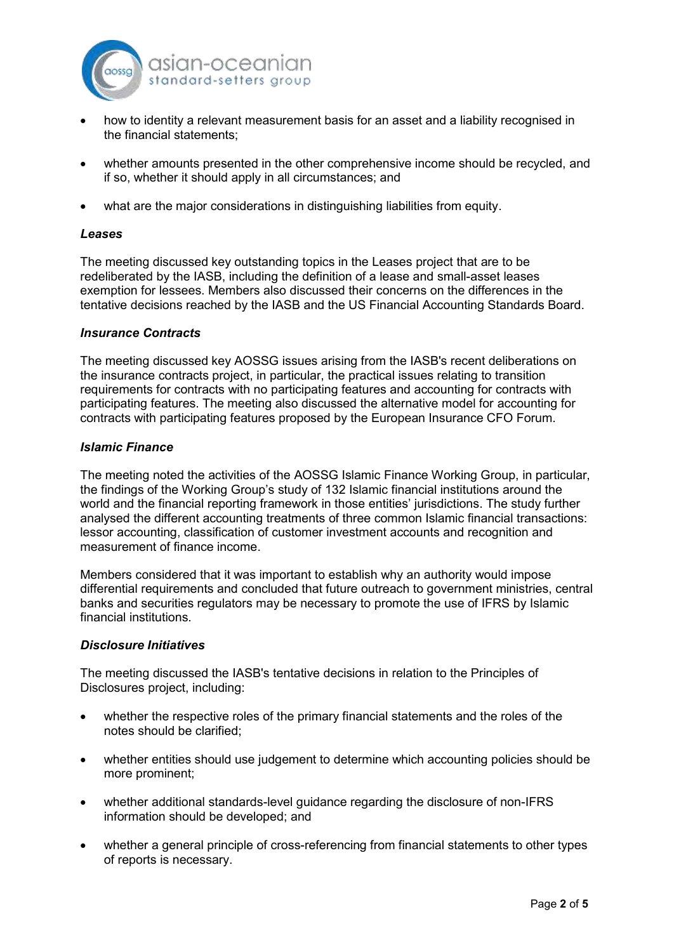

- how to identity a relevant measurement basis for an asset and a liability recognised in the financial statements;
- whether amounts presented in the other comprehensive income should be recycled, and if so, whether it should apply in all circumstances; and
- what are the major considerations in distinguishing liabilities from equity.

#### *Leases*

The meeting discussed key outstanding topics in the Leases project that are to be redeliberated by the IASB, including the definition of a lease and small-asset leases exemption for lessees. Members also discussed their concerns on the differences in the tentative decisions reached by the IASB and the US Financial Accounting Standards Board.

#### *Insurance Contracts*

The meeting discussed key AOSSG issues arising from the IASB's recent deliberations on the insurance contracts project, in particular, the practical issues relating to transition requirements for contracts with no participating features and accounting for contracts with participating features. The meeting also discussed the alternative model for accounting for contracts with participating features proposed by the European Insurance CFO Forum.

#### *Islamic Finance*

The meeting noted the activities of the AOSSG Islamic Finance Working Group, in particular, the findings of the Working Group's study of 132 Islamic financial institutions around the world and the financial reporting framework in those entities' jurisdictions. The study further analysed the different accounting treatments of three common Islamic financial transactions: lessor accounting, classification of customer investment accounts and recognition and measurement of finance income.

Members considered that it was important to establish why an authority would impose differential requirements and concluded that future outreach to government ministries, central banks and securities regulators may be necessary to promote the use of IFRS by Islamic financial institutions.

### *Disclosure Initiatives*

The meeting discussed the IASB's tentative decisions in relation to the Principles of Disclosures project, including:

- whether the respective roles of the primary financial statements and the roles of the notes should be clarified;
- whether entities should use judgement to determine which accounting policies should be more prominent;
- whether additional standards-level guidance regarding the disclosure of non-IFRS information should be developed; and
- whether a general principle of cross-referencing from financial statements to other types of reports is necessary.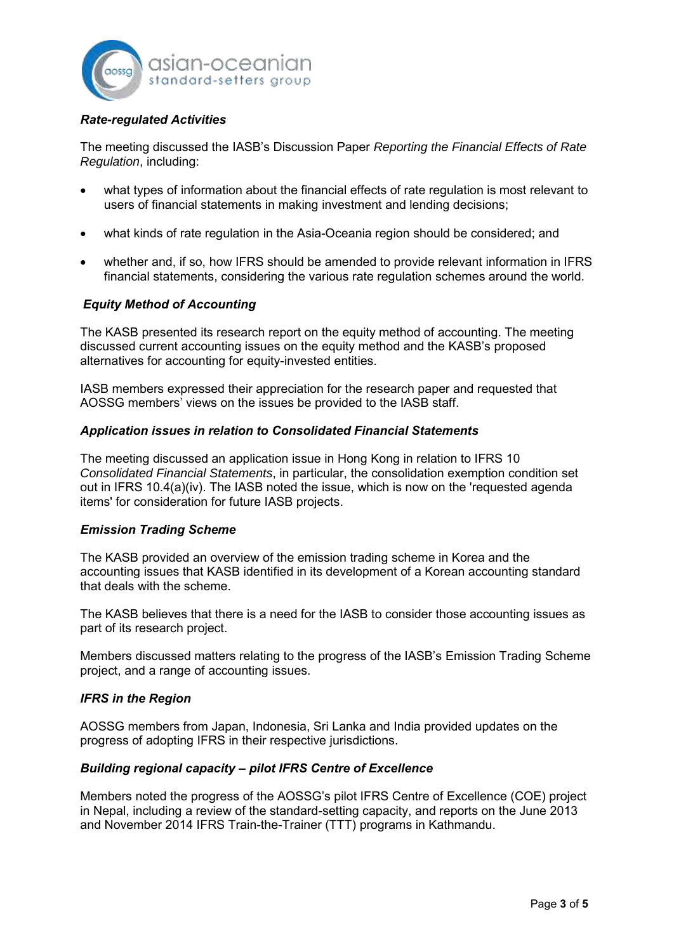

# *Rate-regulated Activities*

The meeting discussed the IASB's Discussion Paper *Reporting the Financial Effects of Rate Regulation*, including:

- what types of information about the financial effects of rate regulation is most relevant to users of financial statements in making investment and lending decisions;
- what kinds of rate regulation in the Asia-Oceania region should be considered; and
- whether and, if so, how IFRS should be amended to provide relevant information in IFRS financial statements, considering the various rate regulation schemes around the world.

## *Equity Method of Accounting*

The KASB presented its research report on the equity method of accounting. The meeting discussed current accounting issues on the equity method and the KASB's proposed alternatives for accounting for equity-invested entities.

IASB members expressed their appreciation for the research paper and requested that AOSSG members' views on the issues be provided to the IASB staff.

## *Application issues in relation to Consolidated Financial Statements*

The meeting discussed an application issue in Hong Kong in relation to IFRS 10 *Consolidated Financial Statements*, in particular, the consolidation exemption condition set out in IFRS 10.4(a)(iv). The IASB noted the issue, which is now on the 'requested agenda items' for consideration for future IASB projects.

### *Emission Trading Scheme*

The KASB provided an overview of the emission trading scheme in Korea and the accounting issues that KASB identified in its development of a Korean accounting standard that deals with the scheme.

The KASB believes that there is a need for the IASB to consider those accounting issues as part of its research project.

Members discussed matters relating to the progress of the IASB's Emission Trading Scheme project, and a range of accounting issues.

### *IFRS in the Region*

AOSSG members from Japan, Indonesia, Sri Lanka and India provided updates on the progress of adopting IFRS in their respective jurisdictions.

### *Building regional capacity – pilot IFRS Centre of Excellence*

Members noted the progress of the AOSSG's pilot IFRS Centre of Excellence (COE) project in Nepal, including a review of the standard-setting capacity, and reports on the June 2013 and November 2014 IFRS Train-the-Trainer (TTT) programs in Kathmandu.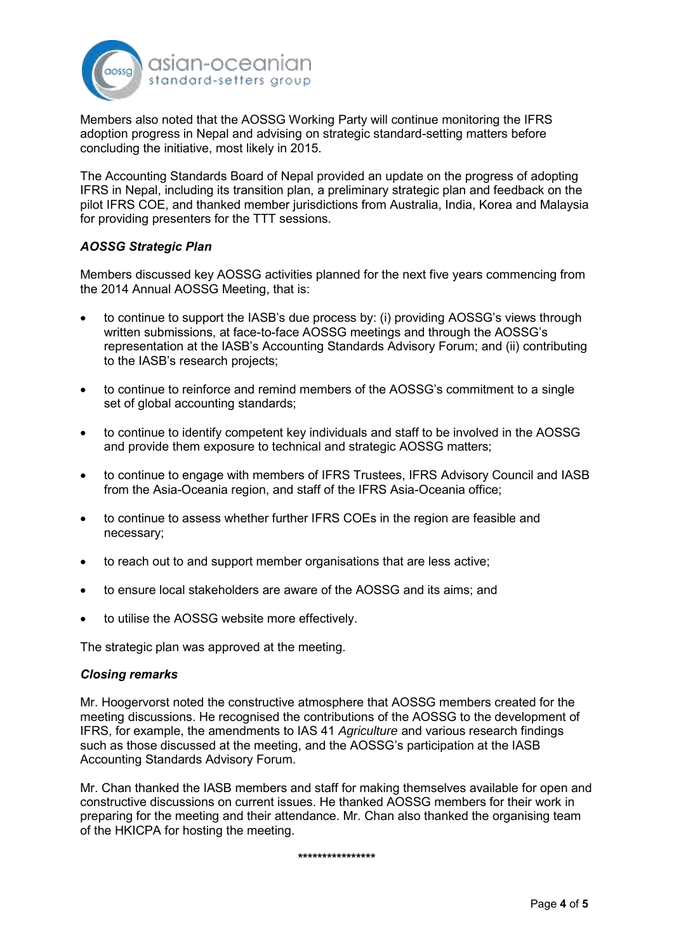

Members also noted that the AOSSG Working Party will continue monitoring the IFRS adoption progress in Nepal and advising on strategic standard-setting matters before concluding the initiative, most likely in 2015.

The Accounting Standards Board of Nepal provided an update on the progress of adopting IFRS in Nepal, including its transition plan, a preliminary strategic plan and feedback on the pilot IFRS COE, and thanked member jurisdictions from Australia, India, Korea and Malaysia for providing presenters for the TTT sessions.

# *AOSSG Strategic Plan*

Members discussed key AOSSG activities planned for the next five years commencing from the 2014 Annual AOSSG Meeting, that is:

- to continue to support the IASB's due process by: (i) providing AOSSG's views through written submissions, at face-to-face AOSSG meetings and through the AOSSG's representation at the IASB's Accounting Standards Advisory Forum; and (ii) contributing to the IASB's research projects;
- to continue to reinforce and remind members of the AOSSG's commitment to a single set of global accounting standards;
- to continue to identify competent key individuals and staff to be involved in the AOSSG and provide them exposure to technical and strategic AOSSG matters;
- to continue to engage with members of IFRS Trustees, IFRS Advisory Council and IASB from the Asia-Oceania region, and staff of the IFRS Asia-Oceania office;
- to continue to assess whether further IFRS COEs in the region are feasible and necessary;
- to reach out to and support member organisations that are less active;
- to ensure local stakeholders are aware of the AOSSG and its aims; and
- to utilise the AOSSG website more effectively.

The strategic plan was approved at the meeting.

### *Closing remarks*

Mr. Hoogervorst noted the constructive atmosphere that AOSSG members created for the meeting discussions. He recognised the contributions of the AOSSG to the development of IFRS, for example, the amendments to IAS 41 *Agriculture* and various research findings such as those discussed at the meeting, and the AOSSG's participation at the IASB Accounting Standards Advisory Forum.

Mr. Chan thanked the IASB members and staff for making themselves available for open and constructive discussions on current issues. He thanked AOSSG members for their work in preparing for the meeting and their attendance. Mr. Chan also thanked the organising team of the HKICPA for hosting the meeting.

**\*\*\*\*\*\*\*\*\*\*\*\*\*\*\*\***